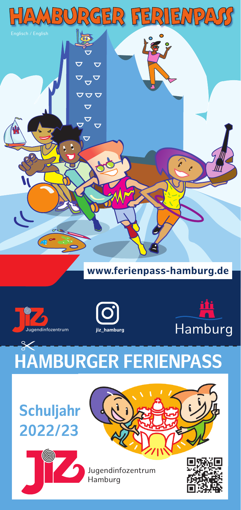

## **www.ferienpass-hamburg.de**







## **HAMBURGER FERIENPASS**  $\propto$

## **Schuljahr 2022/23**





Jugendinfozentrum Hamburg